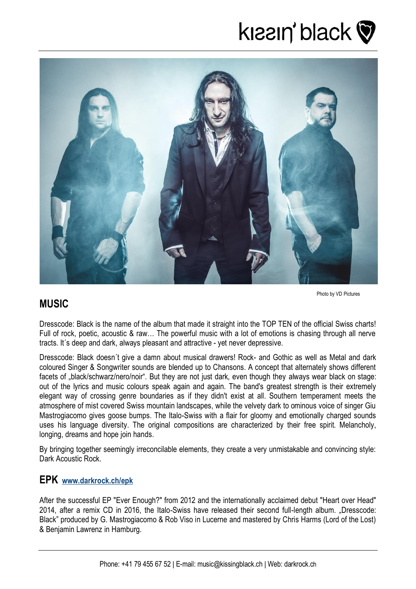



## **MUSIC**

Photo by VD Pictures

Dresscode: Black is the name of the album that made it straight into the TOP TEN of the official Swiss charts! Full of rock, poetic, acoustic & raw… The powerful music with a lot of emotions is chasing through all nerve tracts. It´s deep and dark, always pleasant and attractive - yet never depressive.

Dresscode: Black doesn´t give a damn about musical drawers! Rock- and Gothic as well as Metal and dark coloured Singer & Songwriter sounds are blended up to Chansons. A concept that alternately shows different facets of "black/schwarz/nero/noir". But they are not just dark, even though they always wear black on stage: out of the lyrics and music colours speak again and again. The band's greatest strength is their extremely elegant way of crossing genre boundaries as if they didn't exist at all. Southern temperament meets the atmosphere of mist covered Swiss mountain landscapes, while the velvety dark to ominous voice of singer Giu Mastrogiacomo gives goose bumps. The Italo-Swiss with a flair for gloomy and emotionally charged sounds uses his language diversity. The original compositions are characterized by their free spirit. Melancholy, longing, dreams and hope join hands.

By bringing together seemingly irreconcilable elements, they create a very unmistakable and convincing style: Dark Acoustic Rock.

#### **EPK [www.darkrock.ch/epk](http://www.darkrock.ch/epk)**

After the successful EP "Ever Enough?" from 2012 and the internationally acclaimed debut "Heart over Head" 2014, after a remix CD in 2016, the Italo-Swiss have released their second full-length album. "Dresscode: Black" produced by G. Mastrogiacomo & Rob Viso in Lucerne and mastered by Chris Harms (Lord of the Lost) & Benjamin Lawrenz in Hamburg.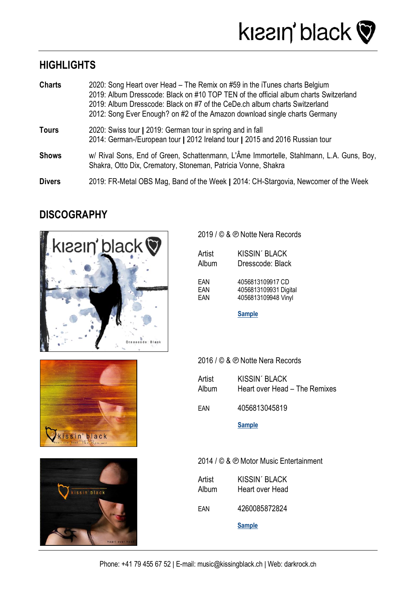# **HIGHLIGHTS**

| <b>Charts</b> | 2020: Song Heart over Head – The Remix on #59 in the iTunes charts Belgium<br>2019: Album Dresscode: Black on #10 TOP TEN of the official album charts Switzerland<br>2019: Album Dresscode: Black on #7 of the CeDe.ch album charts Switzerland<br>2012: Song Ever Enough? on #2 of the Amazon download single charts Germany |
|---------------|--------------------------------------------------------------------------------------------------------------------------------------------------------------------------------------------------------------------------------------------------------------------------------------------------------------------------------|
| <b>Tours</b>  | 2020: Swiss tour   2019: German tour in spring and in fall<br>2014: German-/European tour   2012 Ireland tour   2015 and 2016 Russian tour                                                                                                                                                                                     |
| <b>Shows</b>  | w/ Rival Sons, End of Green, Schattenmann, L'Âme Immortelle, Stahlmann, L.A. Guns, Boy,<br>Shakra, Otto Dix, Crematory, Stoneman, Patricia Vonne, Shakra                                                                                                                                                                       |
| <b>Divers</b> | 2019: FR-Metal OBS Mag, Band of the Week   2014: CH-Stargovia, Newcomer of the Week                                                                                                                                                                                                                                            |

## **DISCOGRAPHY**



kissin'black



2019 / © & ℗ Notte Nera Records

| Artist | <b>KISSIN' BLACK</b>  |
|--------|-----------------------|
| Album  | Dresscode: Black      |
| FAN    | 4056813109917 CD      |
| FAN    | 4056813109931 Digital |
| FAN    | 4056813109948 Vinyl   |

**[Sample](https://www.youtube.com/watch?v=tcVErxy2wTc)**

2016 / © & ℗ Notte Nera Records

| Artist | <b>KISSIN' BLACK</b>          |
|--------|-------------------------------|
| Album  | Heart over Head - The Remixes |

EAN 4056813045819

**[Sample](https://www.youtube.com/watch?v=ppLlN5yTFuw)**

2014 / © & ℗ Motor Music Entertainment

| Artist | <b>KISSIN' BLACK</b> |
|--------|----------------------|
| Album  | Heart over Head      |

EAN 4260085872824

**[Sample](https://www.youtube.com/watch?v=Vj5Cm6TJHG0)**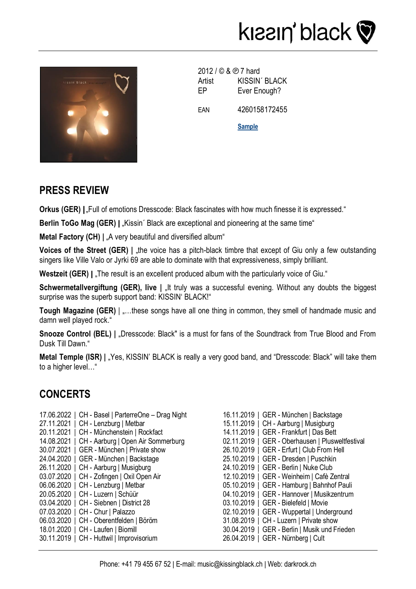



2012 / © & ℗ 7 hard Artist KISSIN' BLACK EP Ever Enough? EAN 4260158172455 **[Sample](https://www.youtube.com/watch?v=bffbqSrqBzw)**

#### **PRESS REVIEW**

**Orkus (GER)**  $\mathsf{I}$ <sub>"</sub>Full of emotions Dresscode: Black fascinates with how much finesse it is expressed."

**Berlin ToGo Mag (GER) | Kissin´ Black are exceptional and pioneering at the same time"** 

**Metal Factory (CH)**  $| \cdot \|$  A very beautiful and diversified album<sup>"</sup>

**Voices of the Street (GER) | "the voice has a pitch-black timbre that except of Giu only a few outstanding** singers like Ville Valo or Jyrki 69 are able to dominate with that expressiveness, simply brilliant.

**Westzeit (GER) I . The result is an excellent produced album with the particularly voice of Giu."** 

**Schwermetallvergiftung (GER), live | "It truly was a successful evening. Without any doubts the biggest** surprise was the superb support band: KISSIN' BLACK!"

**Tough Magazine (GER)** | ....these songs have all one thing in common, they smell of handmade music and damn well played rock."

**Snooze Control (BEL) | "Dresscode: Black" is a must for fans of the Soundtrack from True Blood and From** Dusk Till Dawn."

**Metal Temple (ISR) | "Yes, KISSIN' BLACK is really a very good band, and "Dresscode: Black" will take them** to a higher level…"

## **CONCERTS**

- 17.06.2022 | CH Basel | ParterreOne Drag Night 27.11.2021 | CH - Lenzburg | Metbar 20.11.2021 | CH - Münchenstein | Rockfact 14.08.2021 | CH - Aarburg | Open Air Sommerburg 30.07.2021 | GER - München | Private show 24.04.2020 | GER - München | Backstage 26.11.2020 | CH - Aarburg | Musigburg 03.07.2020 | CH - Zofingen | Oxil Open Air 06.06.2020 | CH - Lenzburg | Metbar 20.05.2020 | CH - Luzern | Schüür 03.04.2020 | CH - Siebnen | District 28 07.03.2020 | CH - Chur | Palazzo 06.03.2020 | CH - Oberentfelden | Böröm 18.01.2020 | CH - Laufen | Biomill 30.11.2019 | CH - Huttwil | Improvisorium
- 16.11.2019 | GER München | Backstage 15.11.2019 | CH - Aarburg | Musigburg 14.11.2019 | GER - Frankfurt | Das Bett 02.11.2019 | GER - Oberhausen | Plusweltfestival 26.10.2019 | GER - Erfurt | Club From Hell 25.10.2019 | GER - Dresden | Puschkin 24.10.2019 | GER - Berlin | Nuke Club 12.10.2019 | GER - Weinheim | Cafè Zentral 05.10.2019 | GER - Hamburg | Bahnhof Pauli 04.10.2019 | GER - Hannover | Musikzentrum 03.10.2019 | GER - Bielefeld | Movie 02.10.2019 | GER - Wuppertal | Underground 31.08.2019 | CH - Luzern | Private show 30.04.2019 | GER - Berlin | Musik und Frieden 26.04.2019 | GER - Nürnberg | Cult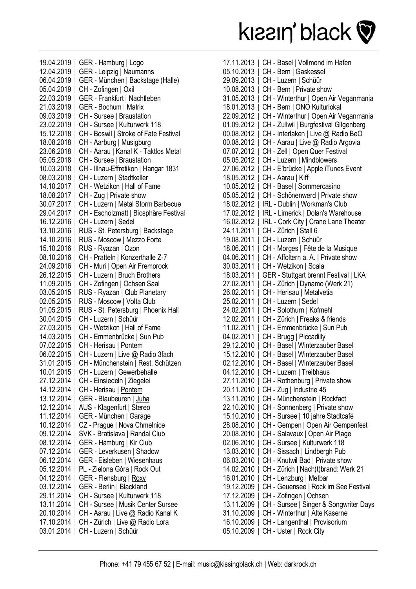

| 19.04.2019<br>12.04.2019<br>06.04.2019<br>I<br>05.04.2019<br>22.03.2019<br>21.03.2019<br>09.03.2019<br>23.02.2019<br>15.12.2018 | GER - Hamburg   Logo<br>I<br>GER - Leipzig   Naumanns<br>GER - München   Backstage (Halle)<br>CH - Zofingen   Oxil<br>GER - Frankfurt   Nachtleben<br>GER - Bochum   Matrix<br>CH - Sursee   Braustation<br>CH - Sursee   Kulturwerk 118<br>CH - Boswil   Stroke of Fate Festival |
|---------------------------------------------------------------------------------------------------------------------------------|-----------------------------------------------------------------------------------------------------------------------------------------------------------------------------------------------------------------------------------------------------------------------------------|
| 18.08.2018                                                                                                                      | CH - Aarburg   Musigburg                                                                                                                                                                                                                                                          |
| 23.06.2018                                                                                                                      | CH - Aarau   Kanal K - Taktlos Metal                                                                                                                                                                                                                                              |
| 05.05.2018                                                                                                                      | CH - Sursee   Braustation                                                                                                                                                                                                                                                         |
| 10.03.2018<br>08.03.2018                                                                                                        | CH - Illnau-Effretikon   Hangar 1831<br>CH - Luzern   Stadtkeller                                                                                                                                                                                                                 |
| 14.10.2017                                                                                                                      | CH - Wetzikon   Hall of Fame                                                                                                                                                                                                                                                      |
| 18.08.2017                                                                                                                      | CH - Zug   Private show                                                                                                                                                                                                                                                           |
| 30.07.2017                                                                                                                      | CH - Luzern   Metal Storm Barbecue                                                                                                                                                                                                                                                |
| 29.04.2017                                                                                                                      | CH - Escholzmatt   Biosphäre Festival                                                                                                                                                                                                                                             |
| 16.12.2016                                                                                                                      | CH - Luzern   Sedel                                                                                                                                                                                                                                                               |
| 13.10.2016                                                                                                                      | RUS - St. Petersburg   Backstage                                                                                                                                                                                                                                                  |
| 14.10.2016                                                                                                                      | RUS - Moscow   Mezzo Forte                                                                                                                                                                                                                                                        |
| 15.10.2016                                                                                                                      | RUS - Ryazan   Ozon                                                                                                                                                                                                                                                               |
| 08.10.2016                                                                                                                      | CH - Pratteln   Konzerthalle Z-7                                                                                                                                                                                                                                                  |
| 24.09.2016                                                                                                                      | CH - Muri   Open Air Fremorock                                                                                                                                                                                                                                                    |
| 26.12.2015                                                                                                                      | CH - Luzern   Bruch Brothers                                                                                                                                                                                                                                                      |
| 11.09.2015                                                                                                                      | CH - Zofingen   Ochsen Saal                                                                                                                                                                                                                                                       |
| 03.05.2015                                                                                                                      | RUS - Ryazan   Club Planetary                                                                                                                                                                                                                                                     |
| 02.05.2015<br>01.05.2015                                                                                                        | RUS - Moscow   Volta Club                                                                                                                                                                                                                                                         |
| 30.04.2015                                                                                                                      | RUS - St. Petersburg   Phoenix Hall<br>CH - Luzern   Schüür                                                                                                                                                                                                                       |
| 27.03.2015                                                                                                                      | CH - Wetzikon   Hall of Fame                                                                                                                                                                                                                                                      |
| 14.03.2015                                                                                                                      | CH - Emmenbrücke   Sun Pub                                                                                                                                                                                                                                                        |
| 07.02.2015                                                                                                                      | CH - Herisau   Pontem                                                                                                                                                                                                                                                             |
| 06.02.2015                                                                                                                      | CH - Luzern   Live @ Radio 3fach                                                                                                                                                                                                                                                  |
| 31.01.2015                                                                                                                      | CH - Münchenstein   Rest. Schützen                                                                                                                                                                                                                                                |
|                                                                                                                                 | 10.01.2015   CH - Luzern   Gewerbehalle                                                                                                                                                                                                                                           |
|                                                                                                                                 | 27.12.2014   CH - Einsiedeln   Ziegelei                                                                                                                                                                                                                                           |
|                                                                                                                                 | 14.12.2014   CH - Herisau   Pontem                                                                                                                                                                                                                                                |
|                                                                                                                                 | 13.12.2014   GER - Blaubeuren   Juha                                                                                                                                                                                                                                              |
|                                                                                                                                 | 12.12.2014   AUS - Klagenfurt   Stereo                                                                                                                                                                                                                                            |
|                                                                                                                                 | 11.12.2014   GER - München   Garage                                                                                                                                                                                                                                               |
|                                                                                                                                 | 10.12.2014   CZ - Prague   Nova Chmelnice                                                                                                                                                                                                                                         |
|                                                                                                                                 | 09.12.2014   SVK - Bratislava   Randal Club<br>08.12.2014   GER - Hamburg   Kir Club                                                                                                                                                                                              |
| 07.12.2014                                                                                                                      | GER - Leverkusen   Shadow                                                                                                                                                                                                                                                         |
|                                                                                                                                 | 06.12.2014   GER - Eisleben   Wiesenhaus                                                                                                                                                                                                                                          |
|                                                                                                                                 | 05.12.2014   PL - Zielona Góra   Rock Out                                                                                                                                                                                                                                         |
|                                                                                                                                 | 04.12.2014   GER - Flensburg   Roxy                                                                                                                                                                                                                                               |
|                                                                                                                                 | 03.12.2014   GER - Berlin   Blackland                                                                                                                                                                                                                                             |
|                                                                                                                                 | 29.11.2014   CH - Sursee   Kulturwerk 118                                                                                                                                                                                                                                         |
|                                                                                                                                 | 13.11.2014   CH - Sursee   Musik Center Sursee                                                                                                                                                                                                                                    |
|                                                                                                                                 | 20.10.2014   CH - Aarau   Live @ Radio Kanal K                                                                                                                                                                                                                                    |
| 17.10.2014                                                                                                                      | CH - Zürich   Live @ Radio Lora                                                                                                                                                                                                                                                   |
|                                                                                                                                 | 03.01.2014   CH - Luzern   Schüür                                                                                                                                                                                                                                                 |

| 17.11.2013<br>$\overline{\phantom{a}}$ | CH - Basel   Vollmond im Hafen                               |
|----------------------------------------|--------------------------------------------------------------|
| 05.10.2013                             | CH - Bern   Gaskessel                                        |
| 29.09.2013<br>$\overline{\phantom{a}}$ | CH - Luzern   Schüür                                         |
| 10.08.2013<br>$\overline{\phantom{a}}$ | CH - Bern   Private show                                     |
| 31.05.2013                             | CH - Winterthur   Open Air Veganmania                        |
| 18.01.2013                             | CH - Bern   ONO Kulturlokal                                  |
| 22.09.2012                             | CH - Winterthur   Open Air Veganmania                        |
| 01.09.2012                             | CH - Zullwil   Burgfestival Gilgenberg                       |
| 00.08.2012<br>$\overline{\phantom{a}}$ | CH - Interlaken   Live @ Radio BeO                           |
| 00.08.2012                             | CH - Aarau   Live @ Radio Argovia                            |
| 07.07.2012<br>$\overline{\phantom{a}}$ | CH - Zell   Open Quer Festival                               |
| 05.05.2012<br>$\overline{\phantom{a}}$ | CH - Luzern   Mindblowers                                    |
| 27.06.2012<br>$\overline{\phantom{a}}$ | CH - E'brücke   Apple iTunes Event                           |
| 18.05.2012                             | CH - Aarau   Kiff                                            |
| 10.05.2012                             | CH - Basel   Sommercasino                                    |
| 05.05.2012                             | CH - Schönenwerd   Private show                              |
| 18.02.2012                             | IRL - Dublin   Workman's Club                                |
| 17.02.2012                             | IRL - Limerick   Dolan's Warehouse                           |
| 16.02.2012                             | IRL - Cork City   Crane Lane Theater                         |
| 24.11.2011                             | CH - Zürich   Stall 6                                        |
| 19.08.2011                             | CH - Luzern   Schüür                                         |
| 18.06.2011                             | CH - Morges   Fête de la Musique                             |
| 04.06.2011                             | CH - Affoltern a. A.   Private show                          |
| 30.03.2011                             | CH - Wetzikon   Scala                                        |
| 18.03.2011                             | GER - Stuttgart brennt Festival   LKA                        |
| 27.02.2011                             | CH - Zürich   Dynamo (Werk 21)                               |
| 26.02.2011                             | CH - Herisau   Metalvetia                                    |
| 25.02.2011                             | CH - Luzern   Sedel                                          |
| 24.02.2011                             | CH - Solothurn   Kofmehl                                     |
| 12.02.2011                             | CH - Zürich   Freaks & friends<br>I                          |
| 11.02.2011                             | CH - Emmenbrücke   Sun Pub<br>I                              |
| 04.02.2011                             | CH - Brugg   Piccadilly<br>I                                 |
| 29.12.2010                             | CH - Basel   Winterzauber Basel<br>$\overline{\phantom{a}}$  |
| 15.12.2010                             | CH - Basel   Winterzauber Basel<br>$\overline{1}$            |
| 02.12.2010                             | CH - Basel   Winterzauber Basel<br>$\overline{1}$            |
| 04.12.2010                             | CH - Luzern   Treibhaus                                      |
| 27.11.2010                             | CH - Rothenburg   Private show                               |
| 20.11.2010                             | CH - Zug   Industrie 45                                      |
| 13.11.2010<br>$\overline{\phantom{a}}$ | CH - Münchenstein   Rockfact                                 |
| 22.10.2010                             | CH - Sonnenberg   Private show                               |
| 15.10.2010                             | CH - Sursee   10 jahre Stadtcafé<br>$\overline{\phantom{a}}$ |
| 28.08.2010                             | CH - Gempen   Open Air Gempenfest                            |
| 20.08.2010                             | CH - Salavaux   Open Air Plage                               |
| 02.06.2010                             | CH - Sursee   Kulturwerk 118                                 |
| 13.03.2010                             | CH - Sissach   Lindbergh Pub                                 |
| 06.03.2010                             | CH - Knutwil Bad   Private show                              |
| 14.02.2010                             | CH - Zürich   Nach(t)brand: Werk 21                          |
| 16.01.2010                             | CH - Lenzburg   Metbar                                       |
| 19.12.2009                             | CH - Geuensee   Rock im See Festival                         |
| 17.12.2009                             | CH - Zofingen   Ochsen                                       |
| 13.11.2009                             | CH - Sursee   Singer & Songwriter Days                       |
| 31.10.2009                             | CH - Winterthur   Alte Kaserne                               |
| 16.10.2009                             | CH - Langenthal   Provisorium                                |
|                                        | CH - Uster   Rock City                                       |
| 05.10.2009                             |                                                              |